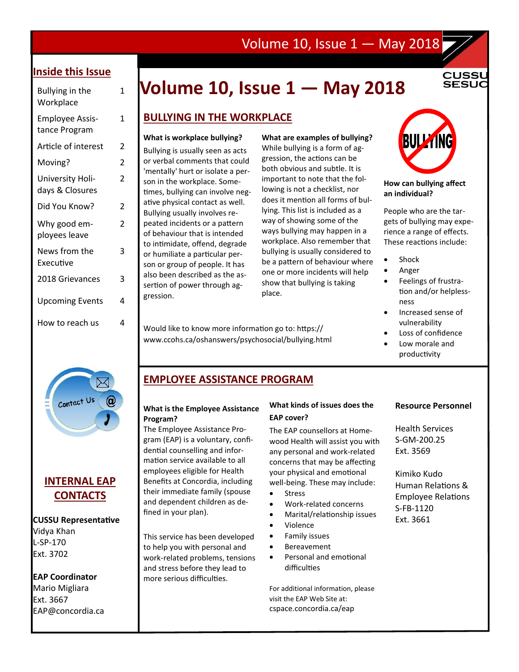### Volume 10, Issue 1 — May 2018

#### **Inside this Issue**

| Bullying in the<br>Workplace            | 1 |
|-----------------------------------------|---|
| <b>Employee Assis-</b><br>tance Program | 1 |
| Article of interest                     | 2 |
| Moving?                                 | 2 |
| University Holi-<br>days & Closures     | 2 |
| Did You Know?                           | 2 |
| Why good em-<br>ployees leave           | 2 |
| News from the<br>Executive              | 3 |
| 2018 Grievances                         | 3 |
| <b>Upcoming Events</b>                  | 4 |
| How to reach us                         | 4 |
|                                         |   |

## Bullying in the **Volume 10, Issue 1 — May 2018**

#### **BULLYING IN THE WORKPLACE**

#### **What is workplace bullying?**

Bullying is usually seen as acts or verbal comments that could 'mentally' hurt or isolate a person in the workplace. Sometimes, bullying can involve negative physical contact as well. Bullying usually involves repeated incidents or a pattern of behaviour that is intended to intimidate, offend, degrade or humiliate a particular person or group of people. It has also been described as the assertion of power through aggression.

**What are examples of bullying?**  While bullying is a form of aggression, the actions can be both obvious and subtle. It is important to note that the following is not a checklist, nor does it mention all forms of bullying. This list is included as a way of showing some of the ways bullying may happen in a workplace. Also remember that bullying is usually considered to be a pattern of behaviour where one or more incidents will help show that bullying is taking place.

Would like to know more information go to: https:// www.ccohs.ca/oshanswers/psychosocial/bullying.html



**CUSSl SESUC** 

#### **How can bullying affect an individual?**

People who are the targets of bullying may experience a range of effects. These reactions include:

- Shock
- Anger
- Feelings of frustration and/or helplessness
- Increased sense of vulnerability
- Loss of confidence
- Low morale and productivity

# $\boxtimes$ Contact Us

### **INTERNAL EAP CONTACTS**

#### **CUSSU Representative**

Vidya Khan L-SP-170 Ext. 3702

#### **EAP Coordinator**

Mario Migliara Ext. 3667 [EAP@concordia.ca](mailto:EAP@concordia.ca)

**EMPLOYEE ASSISTANCE PROGRAM** 

#### **What is the Employee Assistance Program?**

The Employee Assistance Program (EAP) is a voluntary, confidential counselling and information service available to all employees eligible for Health Benefits at Concordia, including their immediate family (spouse and dependent children as defined in your plan).

This service has been developed to help you with personal and work-related problems, tensions and stress before they lead to more serious difficulties.

#### **What kinds of issues does the EAP cover?**

The EAP counsellors at Homewood Health will assist you with any personal and work-related concerns that may be affecting your physical and emotional well-being. These may include:

- Stress
- Work-related concerns
- Marital/relationship issues
- Violence
- Family issues
- Bereavement
- Personal and emotional difficulties

For additional information, please visit the EAP Web Site at: cspace.concordia.ca/eap

#### **Resource Personnel**

Health Services S-GM-200.25 Ext. 3569

Kimiko Kudo Human Relations & Employee Relations S-FB-1120 Ext. 3661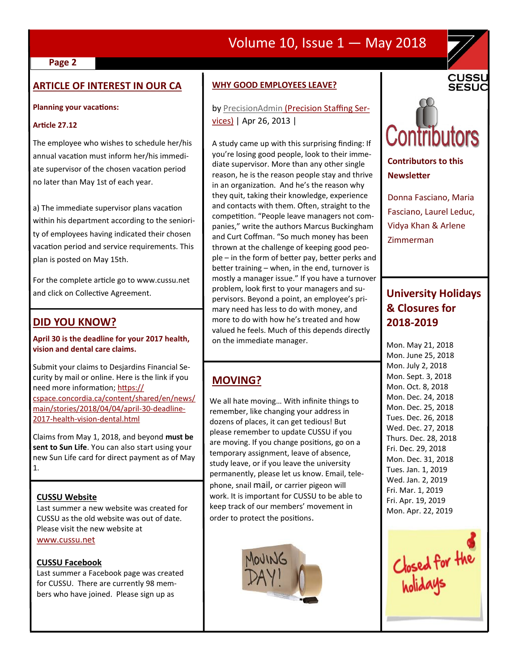### Volume 10, Issue 1 — May 2018

#### **Page 2**

#### **ARTICLE OF INTEREST IN OUR CA**

#### **Planning your vacations:**

#### **Article 27.12**

The employee who wishes to schedule her/his annual vacation must inform her/his immediate supervisor of the chosen vacation period no later than May 1st of each year.

a) The immediate supervisor plans vacation within his department according to the seniority of employees having indicated their chosen vacation period and service requirements. This plan is posted on May 15th.

For the complete article go to www.cussu.net and click on Collective Agreement.

#### **DID YOU KNOW?**

#### **April 30 is the deadline for your 2017 health, vision and dental care claims.**

Submit your claims to Desjardins Financial Security by mail or online. Here is the link if you need more information; [https://](https://cspace.concordia.ca/content/shared/en/news/main/stories/2018/04/04/april-30-deadline-2017-health-vision-dental.html) [cspace.concordia.ca/content/shared/en/news/](https://cspace.concordia.ca/content/shared/en/news/main/stories/2018/04/04/april-30-deadline-2017-health-vision-dental.html) [main/stories/2018/04/04/april](https://cspace.concordia.ca/content/shared/en/news/main/stories/2018/04/04/april-30-deadline-2017-health-vision-dental.html)-30-deadline-2017-health-vision-[dental.html](https://cspace.concordia.ca/content/shared/en/news/main/stories/2018/04/04/april-30-deadline-2017-health-vision-dental.html)

Claims from May 1, 2018, and beyond **must be sent to Sun Life**. You can also start using your new Sun Life card for direct payment as of May 1.

#### **CUSSU Website**

Last summer a new website was created for CUSSU as the old website was out of date. Please visit the new website at [www.cussu.net](http://www.cussu.net)

#### **CUSSU Facebook**

Last summer a Facebook page was created for CUSSU. There are currently 98 members who have joined. Please sign up as

#### **WHY GOOD EMPLOYEES LEAVE?**

by [PrecisionAdmin](https://www.precisionstaffingusa.com/author/nathandougan/) (Precision Staffing Services) | Apr 26, 2013 |

A study came up with this surprising finding: If you're losing good people, look to their immediate supervisor. More than any other single reason, he is the reason people stay and thrive in an organization. And he's the reason why they quit, taking their knowledge, experience and contacts with them. Often, straight to the competition. "People leave managers not companies," write the authors Marcus Buckingham and Curt Coffman. "So much money has been thrown at the challenge of keeping good people – in the form of better pay, better perks and better training – when, in the end, turnover is mostly a manager issue." If you have a turnover problem, look first to your managers and supervisors. Beyond a point, an employee's primary need has less to do with money, and more to do with how he's treated and how valued he feels. Much of this depends directly on the immediate manager.

#### **MOVING?**

We all hate moving… With infinite things to remember, like changing your address in dozens of places, it can get tedious! But please remember to update CUSSU if you are moving. If you change positions, go on a temporary assignment, leave of absence, study leave, or if you leave the university permanently, please let us know. Email, telephone, snail mail, or carrier pigeon will work. It is important for CUSSU to be able to keep track of our members' movement in order to protect the positions.





**CUSSU SESUC** 

**Contributors to this Newsletter**

Donna Fasciano, Maria Fasciano, Laurel Leduc, Vidya Khan & Arlene Zimmerman

### **University Holidays & Closures for 2018-2019**

Mon. May 21, 2018 Mon. June 25, 2018 Mon. July 2, 2018 Mon. Sept. 3, 2018 Mon. Oct. 8, 2018 Mon. Dec. 24, 2018 Mon. Dec. 25, 2018 Tues. Dec. 26, 2018 Wed. Dec. 27, 2018 Thurs. Dec. 28, 2018 Fri. Dec. 29, 2018 Mon. Dec. 31, 2018 Tues. Jan. 1, 2019 Wed. Jan. 2, 2019 Fri. Mar. 1, 2019 Fri. Apr. 19, 2019 Mon. Apr. 22, 2019

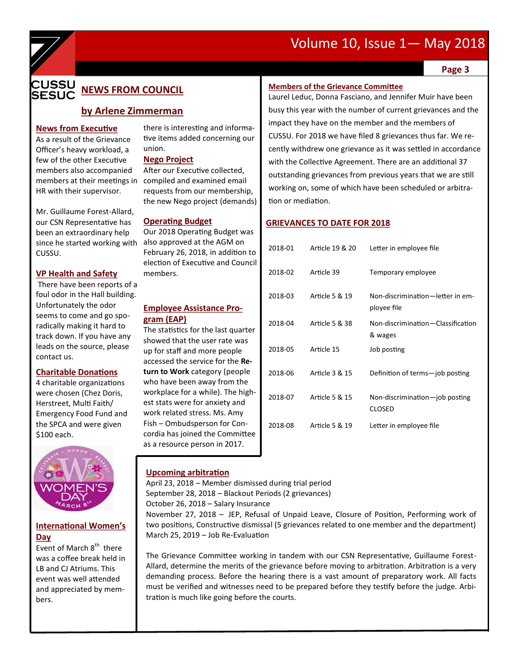## Volume 10, Issue 1— May 2018



#### **CUSSU NEWS FROM COUNCIL SESUC**

#### **by Arlene Zimmerman**

**News from Executive** 

As a result of the Grievance Officer's heavy workload, a few of the other Executive members also accompanied members at their meetings in HR with their supervisor.

Mr. Guillaume Forest-Allard, our CSN Representative has been an extraordinary help since he started working with CUSSU.

#### **VP Health and Safety**

There have been reports of a foul odor in the Hall building. Unfortunately the odor seems to come and go sporadically making it hard to track down. If you have any leads on the source, please contact us.

#### **Charitable Donations**

4 charitable organizations were chosen (Chez Doris, Herstreet, Multi Faith/ Emergency Food Fund and the SPCA and were given \$100 each.



#### **International Women's Day**

Event of March 8<sup>th</sup> there was a coffee break held in LB and CJ Atriums. This event was well attended and appreciated by members.

there is interesting and informative items added concerning our union.

#### **Nego Project**

After our Executive collected, compiled and examined email requests from our membership, the new Nego project (demands)

#### **Operating Budget**

Our 2018 Operating Budget was also approved at the AGM on February 26, 2018, in addition to election of Executive and Council members.

#### **Employee Assistance Program (EAP)**

The statistics for the last quarter showed that the user rate was up for staff and more people accessed the service for the **Return to Work** category (people who have been away from the workplace for a while). The highest stats were for anxiety and work related stress. Ms. Amy Fish – Ombudsperson for Concordia has joined the Committee as a resource person in 2017.

#### **Upcoming arbitration**

April 23, 2018 – Member dismissed during trial period September 28, 2018 – Blackout Periods (2 grievances) October 26, 2018 – Salary Insurance

November 27, 2018 – JEP, Refusal of Unpaid Leave, Closure of Position, Performing work of two positions, Constructive dismissal (5 grievances related to one member and the department) March 25, 2019 – Job Re-Evaluation

The Grievance Committee working in tandem with our CSN Representative, Guillaume Forest-Allard, determine the merits of the grievance before moving to arbitration. Arbitration is a very demanding process. Before the hearing there is a vast amount of preparatory work. All facts must be verified and witnesses need to be prepared before they testify before the judge. Arbitration is much like going before the courts.

#### **Page 3**

#### **Members of the Grievance Committee**

Laurel Leduc, Donna Fasciano, and Jennifer Muir have been busy this year with the number of current grievances and the impact they have on the member and the members of CUSSU. For 2018 we have filed 8 grievances thus far. We recently withdrew one grievance as it was settled in accordance with the Collective Agreement. There are an additional 37 outstanding grievances from previous years that we are still working on, some of which have been scheduled or arbitration or mediation.

#### **GRIEVANCES TO DATE FOR 2018**

| 2018-01 | Article 19 & 20 | Letter in employee file                         |
|---------|-----------------|-------------------------------------------------|
| 2018-02 | Article 39      | Temporary employee                              |
| 2018-03 | Article 5 & 19  | Non-discrimination-letter in em-<br>ployee file |
| 2018-04 | Article 5 & 38  | Non-discrimination-Classification<br>& wages    |
| 2018-05 | Article 15      | Job posting                                     |
| 2018-06 | Article 3 & 15  | Definition of terms-job posting                 |
| 2018-07 | Article 5 & 15  | Non-discrimination-job posting<br><b>CLOSED</b> |
| 2018-08 | Article 5 & 19  | Letter in employee file                         |